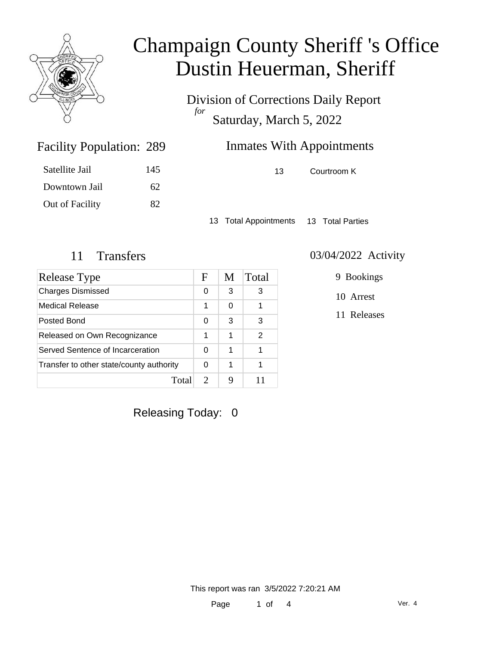

Division of Corrections Daily Report *for* Saturday, March 5, 2022

| 289 | <b>Inmates With Appointments</b> |             |  |
|-----|----------------------------------|-------------|--|
| 145 | 13.                              | Courtroom K |  |

Satellite Jail 145 Downtown Jail 62 Out of Facility 82

Facility Population: 289

13 Total Appointments 13 Total Parties

## 11 Transfers 03/04/2022 Activity

| Release Type                             | F             | M | Total |
|------------------------------------------|---------------|---|-------|
| <b>Charges Dismissed</b>                 | 0             | 3 | 3     |
| Medical Release                          | 1             | 0 |       |
| Posted Bond                              | 0             | 3 | 3     |
| Released on Own Recognizance             |               | 1 | 2     |
| Served Sentence of Incarceration         |               | 1 |       |
| Transfer to other state/county authority |               | 1 |       |
| Tota                                     | $\mathcal{D}$ |   |       |

9 Bookings

10 Arrest

11 Releases

Releasing Today: 0

This report was ran 3/5/2022 7:20:21 AM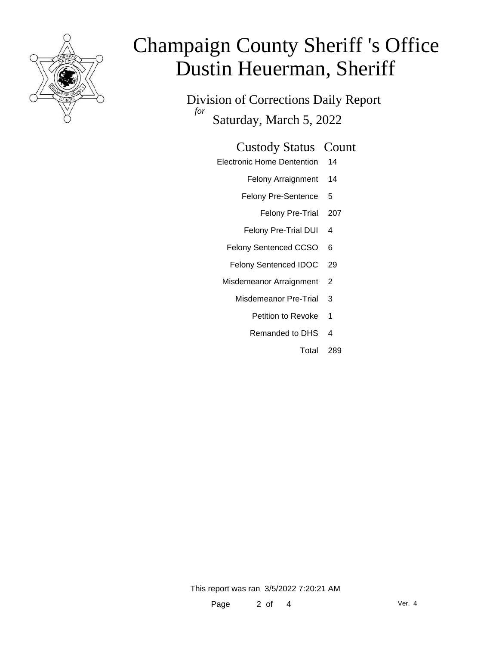

Division of Corrections Daily Report *for* Saturday, March 5, 2022

### Custody Status Count

- Electronic Home Dentention 14
	- Felony Arraignment 14
	- Felony Pre-Sentence 5
		- Felony Pre-Trial 207
	- Felony Pre-Trial DUI 4
	- Felony Sentenced CCSO 6
	- Felony Sentenced IDOC 29
	- Misdemeanor Arraignment 2
		- Misdemeanor Pre-Trial 3
			- Petition to Revoke 1
			- Remanded to DHS 4
				- Total 289

This report was ran 3/5/2022 7:20:21 AM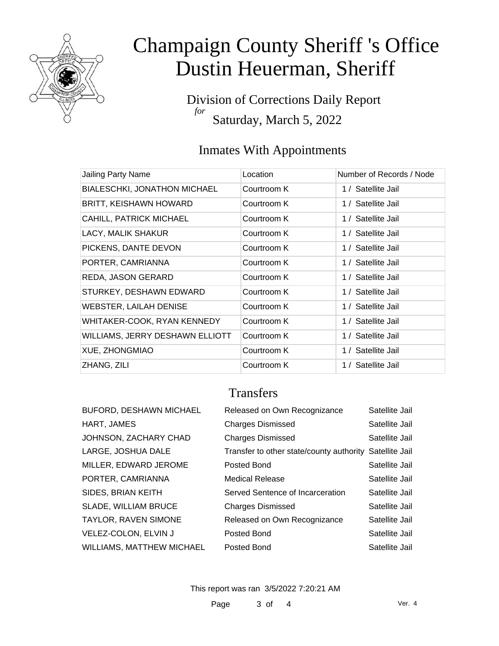

Division of Corrections Daily Report *for* Saturday, March 5, 2022

## Inmates With Appointments

| Jailing Party Name              | Location    | Number of Records / Node |
|---------------------------------|-------------|--------------------------|
| BIALESCHKI, JONATHON MICHAEL    | Courtroom K | 1 / Satellite Jail       |
| <b>BRITT, KEISHAWN HOWARD</b>   | Courtroom K | 1 / Satellite Jail       |
| CAHILL, PATRICK MICHAEL         | Courtroom K | 1 / Satellite Jail       |
| LACY, MALIK SHAKUR              | Courtroom K | 1 / Satellite Jail       |
| PICKENS, DANTE DEVON            | Courtroom K | 1 / Satellite Jail       |
| PORTER, CAMRIANNA               | Courtroom K | 1 / Satellite Jail       |
| REDA, JASON GERARD              | Courtroom K | 1 / Satellite Jail       |
| STURKEY, DESHAWN EDWARD         | Courtroom K | 1 / Satellite Jail       |
| <b>WEBSTER, LAILAH DENISE</b>   | Courtroom K | 1 / Satellite Jail       |
| WHITAKER-COOK, RYAN KENNEDY     | Courtroom K | 1 / Satellite Jail       |
| WILLIAMS, JERRY DESHAWN ELLIOTT | Courtroom K | 1 / Satellite Jail       |
| XUE, ZHONGMIAO                  | Courtroom K | 1 / Satellite Jail       |
| ZHANG, ZILI                     | Courtroom K | 1 / Satellite Jail       |

## **Transfers**

| <b>BUFORD, DESHAWN MICHAEL</b> | Released on Own Recognizance                            | Satellite Jail |
|--------------------------------|---------------------------------------------------------|----------------|
| HART, JAMES                    | <b>Charges Dismissed</b>                                | Satellite Jail |
| JOHNSON, ZACHARY CHAD          | <b>Charges Dismissed</b>                                | Satellite Jail |
| LARGE, JOSHUA DALE             | Transfer to other state/county authority Satellite Jail |                |
| MILLER, EDWARD JEROME          | Posted Bond                                             | Satellite Jail |
| PORTER, CAMRIANNA              | <b>Medical Release</b>                                  | Satellite Jail |
| SIDES, BRIAN KEITH             | Served Sentence of Incarceration                        | Satellite Jail |
| <b>SLADE, WILLIAM BRUCE</b>    | <b>Charges Dismissed</b>                                | Satellite Jail |
| TAYLOR, RAVEN SIMONE           | Released on Own Recognizance                            | Satellite Jail |
| VELEZ-COLON, ELVIN J           | Posted Bond                                             | Satellite Jail |
| WILLIAMS, MATTHEW MICHAEL      | Posted Bond                                             | Satellite Jail |

This report was ran 3/5/2022 7:20:21 AM